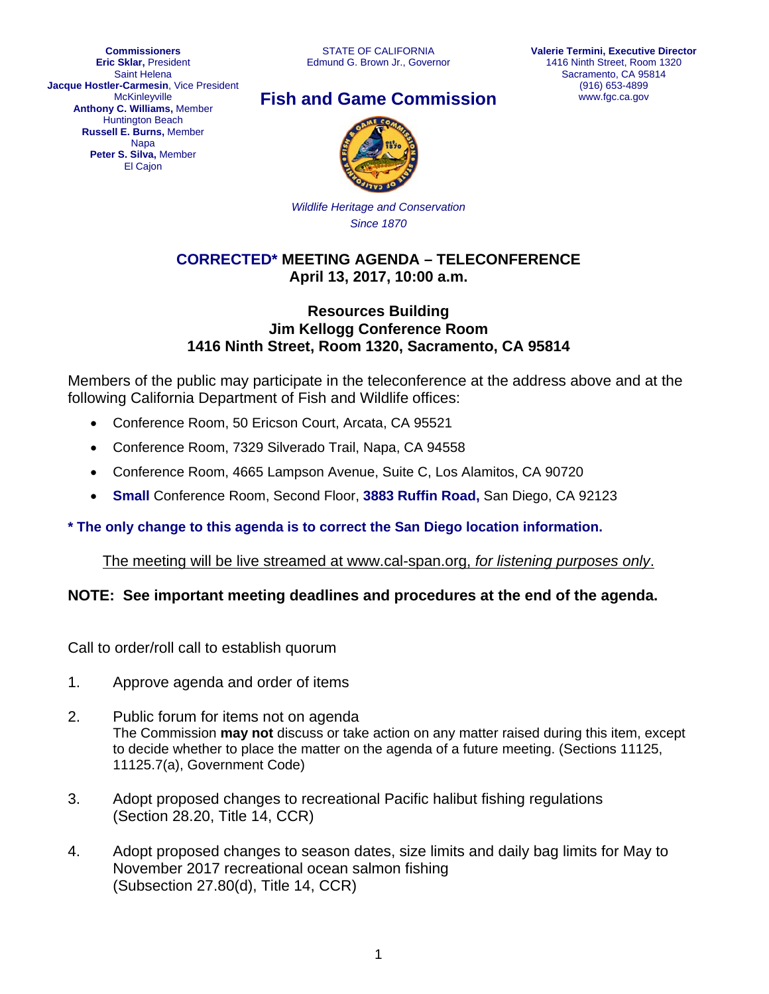**Commissioners Eric Sklar,** President Saint Helena **Jacque Hostler-Carmesin**, Vice President **McKinleyville Anthony C. Williams,** Member Huntington Beach **Russell E. Burns,** Member **Napa Peter S. Silva,** Member El Cajon

# **Fish and Game Commission**



*Wildlife Heritage and Conservation Since 1870*

# **CORRECTED\* MEETING AGENDA – TELECONFERENCE April 13, 2017, 10:00 a.m.**

#### **Resources Building Jim Kellogg Conference Room 1416 Ninth Street, Room 1320, Sacramento, CA 95814**

Members of the public may participate in the teleconference at the address above and at the following California Department of Fish and Wildlife offices:

- Conference Room, 50 Ericson Court, Arcata, CA 95521
- Conference Room, 7329 Silverado Trail, Napa, CA 94558
- Conference Room, 4665 Lampson Avenue, Suite C, Los Alamitos, CA 90720
- **Small** Conference Room, Second Floor, **3883 Ruffin Road,** San Diego, CA 92123

# **\* The only change to this agenda is to correct the San Diego location information.**

The meeting will be live streamed at www.cal-span.org, *for listening purposes only*.

# **NOTE: See important meeting deadlines and procedures at the end of the agenda.**

Call to order/roll call to establish quorum

- 1. Approve agenda and order of items
- 2. Public forum for items not on agenda The Commission **may not** discuss or take action on any matter raised during this item, except to decide whether to place the matter on the agenda of a future meeting. (Sections 11125, 11125.7(a), Government Code)
- 3. Adopt proposed changes to recreational Pacific halibut fishing regulations (Section 28.20, Title 14, CCR)
- 4. Adopt proposed changes to season dates, size limits and daily bag limits for May to November 2017 recreational ocean salmon fishing (Subsection 27.80(d), Title 14, CCR)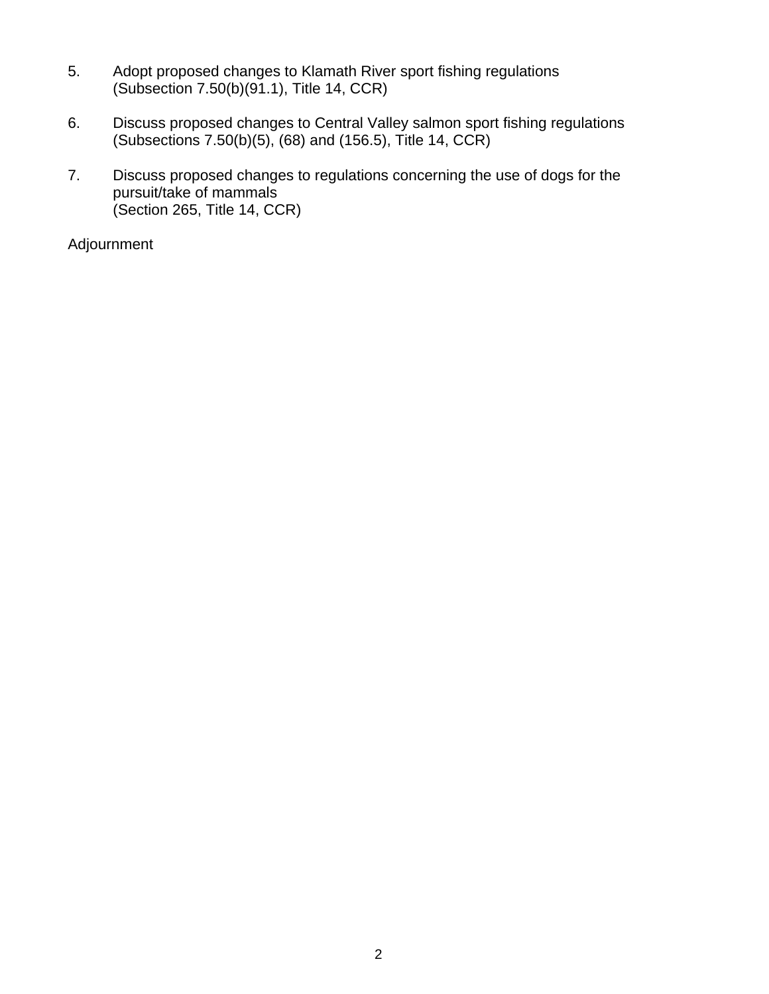- 5. Adopt proposed changes to Klamath River sport fishing regulations (Subsection 7.50(b)(91.1), Title 14, CCR)
- 6. Discuss proposed changes to Central Valley salmon sport fishing regulations (Subsections 7.50(b)(5), (68) and (156.5), Title 14, CCR)
- 7. Discuss proposed changes to regulations concerning the use of dogs for the pursuit/take of mammals (Section 265, Title 14, CCR)

Adjournment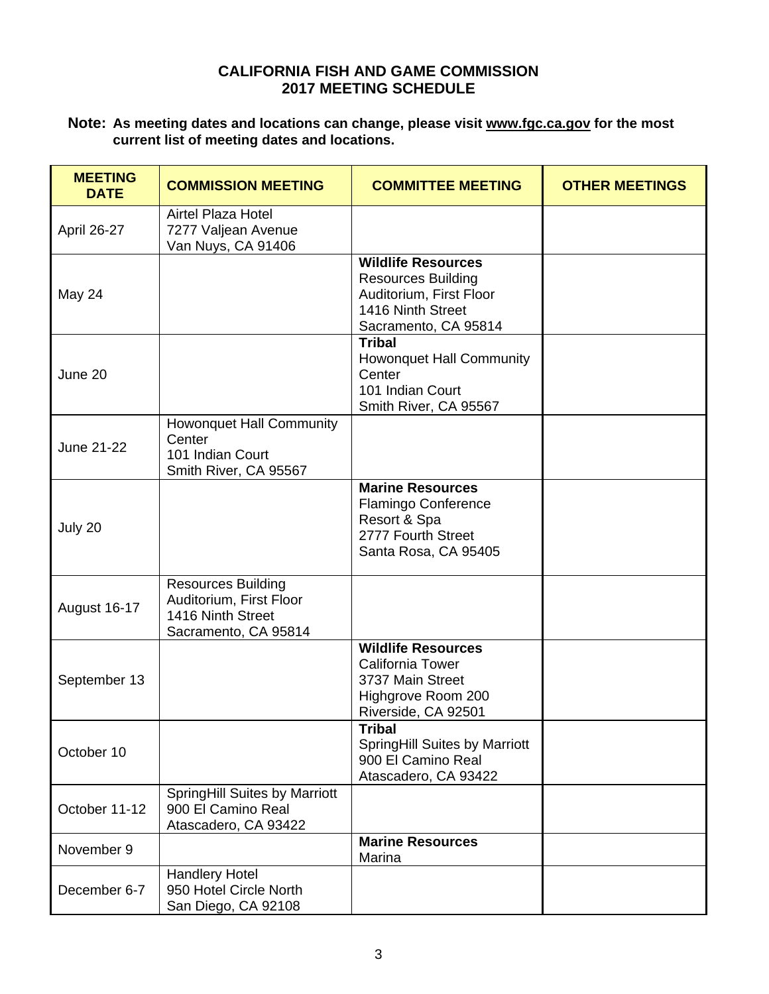#### **CALIFORNIA FISH AND GAME COMMISSION 2017 MEETING SCHEDULE**

#### **Note: As meeting dates and locations can change, please visit www.fgc.ca.gov for the most current list of meeting dates and locations.**

| <b>MEETING</b><br><b>DATE</b> | <b>COMMISSION MEETING</b>                                                                         | <b>COMMITTEE MEETING</b>                                                                                                       | <b>OTHER MEETINGS</b> |
|-------------------------------|---------------------------------------------------------------------------------------------------|--------------------------------------------------------------------------------------------------------------------------------|-----------------------|
| April 26-27                   | <b>Airtel Plaza Hotel</b><br>7277 Valjean Avenue<br>Van Nuys, CA 91406                            |                                                                                                                                |                       |
| May 24                        |                                                                                                   | <b>Wildlife Resources</b><br><b>Resources Building</b><br>Auditorium, First Floor<br>1416 Ninth Street<br>Sacramento, CA 95814 |                       |
| June 20                       |                                                                                                   | <b>Tribal</b><br><b>Howonquet Hall Community</b><br>Center<br>101 Indian Court<br>Smith River, CA 95567                        |                       |
| June 21-22                    | <b>Howonquet Hall Community</b><br>Center<br>101 Indian Court<br>Smith River, CA 95567            |                                                                                                                                |                       |
| July 20                       |                                                                                                   | <b>Marine Resources</b><br><b>Flamingo Conference</b><br>Resort & Spa<br>2777 Fourth Street<br>Santa Rosa, CA 95405            |                       |
| August 16-17                  | <b>Resources Building</b><br>Auditorium, First Floor<br>1416 Ninth Street<br>Sacramento, CA 95814 |                                                                                                                                |                       |
| September 13                  |                                                                                                   | <b>Wildlife Resources</b><br><b>California Tower</b><br>3737 Main Street<br>Highgrove Room 200<br>Riverside, CA 92501          |                       |
| October 10                    |                                                                                                   | <b>Tribal</b><br><b>SpringHill Suites by Marriott</b><br>900 El Camino Real<br>Atascadero, CA 93422                            |                       |
| October 11-12                 | SpringHill Suites by Marriott<br>900 El Camino Real<br>Atascadero, CA 93422                       |                                                                                                                                |                       |
| November 9                    |                                                                                                   | <b>Marine Resources</b><br>Marina                                                                                              |                       |
| December 6-7                  | <b>Handlery Hotel</b><br>950 Hotel Circle North<br>San Diego, CA 92108                            |                                                                                                                                |                       |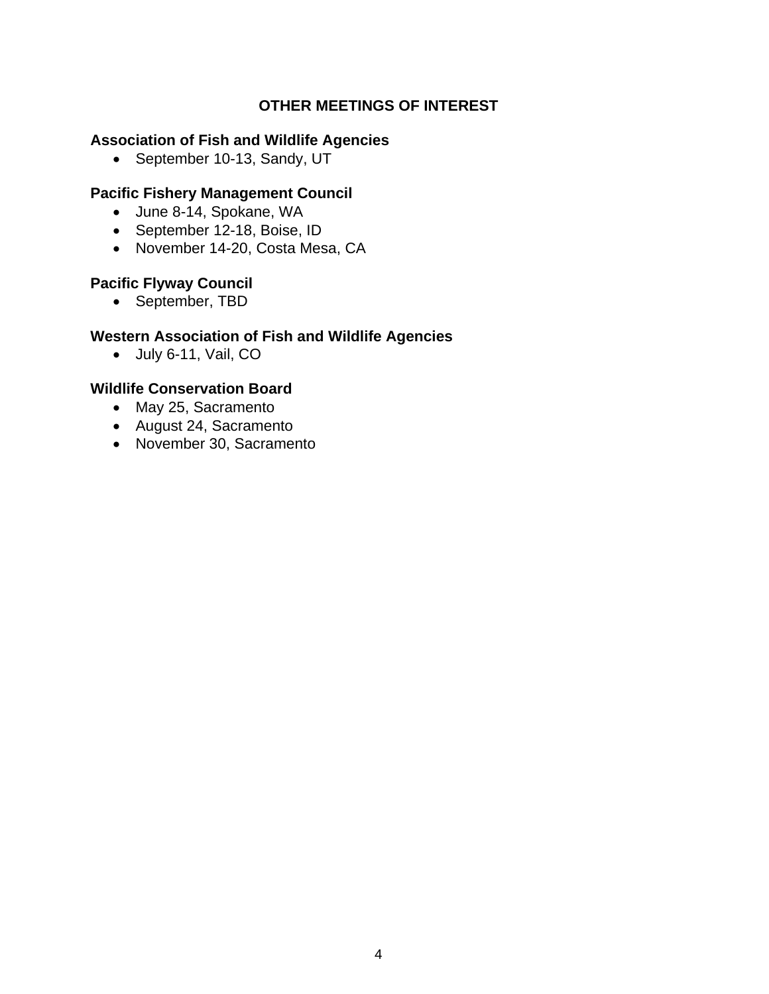# **OTHER MEETINGS OF INTEREST**

#### **Association of Fish and Wildlife Agencies**

• September 10-13, Sandy, UT

#### **Pacific Fishery Management Council**

- June 8-14, Spokane, WA
- September 12-18, Boise, ID
- November 14-20, Costa Mesa, CA

# **Pacific Flyway Council**

• September, TBD

#### **Western Association of Fish and Wildlife Agencies**

July 6-11, Vail, CO

#### **Wildlife Conservation Board**

- May 25, Sacramento
- August 24, Sacramento
- November 30, Sacramento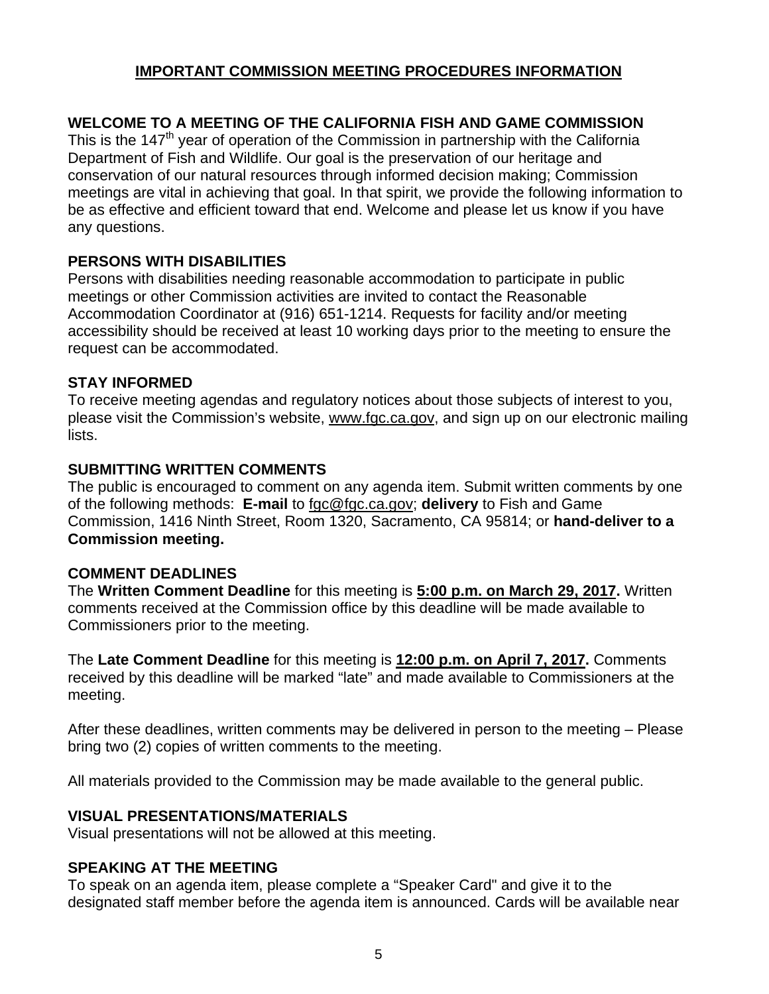# **IMPORTANT COMMISSION MEETING PROCEDURES INFORMATION**

# **WELCOME TO A MEETING OF THE CALIFORNIA FISH AND GAME COMMISSION**

This is the  $147<sup>th</sup>$  year of operation of the Commission in partnership with the California Department of Fish and Wildlife. Our goal is the preservation of our heritage and conservation of our natural resources through informed decision making; Commission meetings are vital in achieving that goal. In that spirit, we provide the following information to be as effective and efficient toward that end. Welcome and please let us know if you have any questions.

# **PERSONS WITH DISABILITIES**

Persons with disabilities needing reasonable accommodation to participate in public meetings or other Commission activities are invited to contact the Reasonable Accommodation Coordinator at (916) 651-1214. Requests for facility and/or meeting accessibility should be received at least 10 working days prior to the meeting to ensure the request can be accommodated.

#### **STAY INFORMED**

To receive meeting agendas and regulatory notices about those subjects of interest to you, please visit the Commission's website, www.fgc.ca.gov, and sign up on our electronic mailing lists.

#### **SUBMITTING WRITTEN COMMENTS**

The public is encouraged to comment on any agenda item. Submit written comments by one of the following methods: **E-mail** to fgc@fgc.ca.gov; **delivery** to Fish and Game Commission, 1416 Ninth Street, Room 1320, Sacramento, CA 95814; or **hand-deliver to a Commission meeting.**

#### **COMMENT DEADLINES**

The **Written Comment Deadline** for this meeting is **5:00 p.m. on March 29, 2017.** Written comments received at the Commission office by this deadline will be made available to Commissioners prior to the meeting.

The **Late Comment Deadline** for this meeting is **12:00 p.m. on April 7, 2017.** Comments received by this deadline will be marked "late" and made available to Commissioners at the meeting.

After these deadlines, written comments may be delivered in person to the meeting – Please bring two (2) copies of written comments to the meeting.

All materials provided to the Commission may be made available to the general public.

# **VISUAL PRESENTATIONS/MATERIALS**

Visual presentations will not be allowed at this meeting.

# **SPEAKING AT THE MEETING**

To speak on an agenda item, please complete a "Speaker Card" and give it to the designated staff member before the agenda item is announced. Cards will be available near